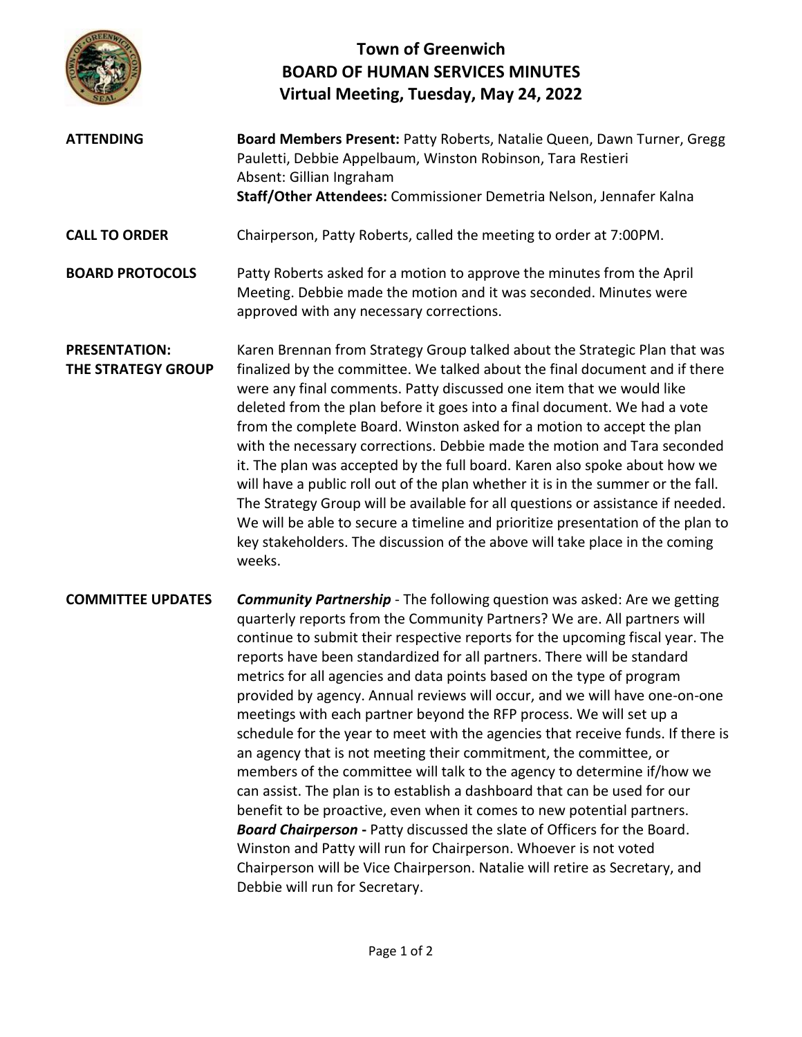

## **Town of Greenwich BOARD OF HUMAN SERVICES MINUTES Virtual Meeting, Tuesday, May 24, 2022**

- **ATTENDING Board Members Present:** Patty Roberts, Natalie Queen, Dawn Turner, Gregg Pauletti, Debbie Appelbaum, Winston Robinson, Tara Restieri Absent: Gillian Ingraham **Staff/Other Attendees:** Commissioner Demetria Nelson, Jennafer Kalna **CALL TO ORDER** Chairperson, Patty Roberts, called the meeting to order at 7:00PM. **BOARD PROTOCOLS** Patty Roberts asked for a motion to approve the minutes from the April Meeting. Debbie made the motion and it was seconded. Minutes were approved with any necessary corrections. **PRESENTATION:**
- **THE STRATEGY GROUP** Karen Brennan from Strategy Group talked about the Strategic Plan that was finalized by the committee. We talked about the final document and if there were any final comments. Patty discussed one item that we would like deleted from the plan before it goes into a final document. We had a vote from the complete Board. Winston asked for a motion to accept the plan with the necessary corrections. Debbie made the motion and Tara seconded it. The plan was accepted by the full board. Karen also spoke about how we will have a public roll out of the plan whether it is in the summer or the fall. The Strategy Group will be available for all questions or assistance if needed. We will be able to secure a timeline and prioritize presentation of the plan to key stakeholders. The discussion of the above will take place in the coming weeks.
- **COMMITTEE UPDATES** *Community Partnership* The following question was asked: Are we getting quarterly reports from the Community Partners? We are. All partners will continue to submit their respective reports for the upcoming fiscal year. The reports have been standardized for all partners. There will be standard metrics for all agencies and data points based on the type of program provided by agency. Annual reviews will occur, and we will have one-on-one meetings with each partner beyond the RFP process. We will set up a schedule for the year to meet with the agencies that receive funds. If there is an agency that is not meeting their commitment, the committee, or members of the committee will talk to the agency to determine if/how we can assist. The plan is to establish a dashboard that can be used for our benefit to be proactive, even when it comes to new potential partners. *Board Chairperson* **-** Patty discussed the slate of Officers for the Board. Winston and Patty will run for Chairperson. Whoever is not voted Chairperson will be Vice Chairperson. Natalie will retire as Secretary, and Debbie will run for Secretary.